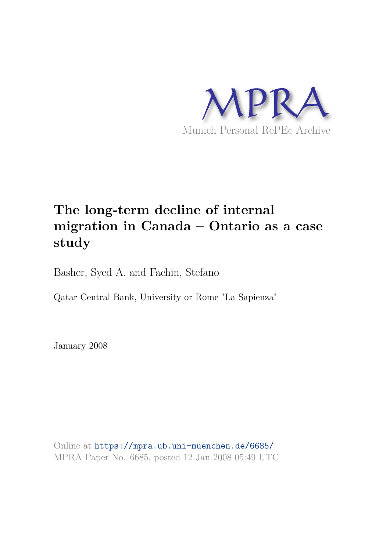

## **The long-term decline of internal migration in Canada – Ontario as a case study**

Basher, Syed A. and Fachin, Stefano

Qatar Central Bank, University or Rome "La Sapienza"

January 2008

Online at https://mpra.ub.uni-muenchen.de/6685/ MPRA Paper No. 6685, posted 12 Jan 2008 05:49 UTC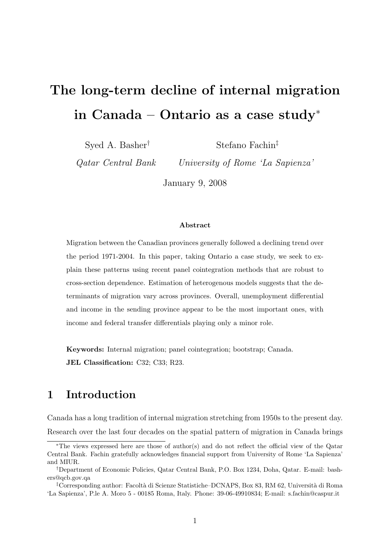# The long-term decline of internal migration in Canada – Ontario as a case study<sup>∗</sup>

Syed A. Basher†

Stefano Fachin‡

Qatar Central Bank

University of Rome 'La Sapienza'

January 9, 2008

#### Abstract

Migration between the Canadian provinces generally followed a declining trend over the period 1971-2004. In this paper, taking Ontario a case study, we seek to explain these patterns using recent panel cointegration methods that are robust to cross-section dependence. Estimation of heterogenous models suggests that the determinants of migration vary across provinces. Overall, unemployment differential and income in the sending province appear to be the most important ones, with income and federal transfer differentials playing only a minor role.

Keywords: Internal migration; panel cointegration; bootstrap; Canada. JEL Classification: C32; C33; R23.

### 1 Introduction

Canada has a long tradition of internal migration stretching from 1950s to the present day. Research over the last four decades on the spatial pattern of migration in Canada brings

<sup>∗</sup>The views expressed here are those of author(s) and do not reflect the official view of the Qatar Central Bank. Fachin gratefully acknowledges financial support from University of Rome 'La Sapienza' and MIUR.

<sup>†</sup>Department of Economic Policies, Qatar Central Bank, P.O. Box 1234, Doha, Qatar. E-mail: bashers@qcb.gov.qa

<sup>&</sup>lt;sup>‡</sup>Corresponding author: Facoltà di Scienze Statistiche–DCNAPS, Box 83, RM 62, Università di Roma 'La Sapienza', P.le A. Moro 5 - 00185 Roma, Italy. Phone: 39-06-49910834; E-mail: s.fachin@caspur.it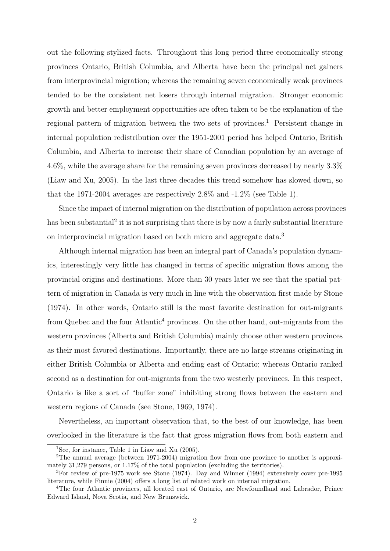out the following stylized facts. Throughout this long period three economically strong provinces–Ontario, British Columbia, and Alberta–have been the principal net gainers from interprovincial migration; whereas the remaining seven economically weak provinces tended to be the consistent net losers through internal migration. Stronger economic growth and better employment opportunities are often taken to be the explanation of the regional pattern of migration between the two sets of provinces.<sup>1</sup> Persistent change in internal population redistribution over the 1951-2001 period has helped Ontario, British Columbia, and Alberta to increase their share of Canadian population by an average of 4.6%, while the average share for the remaining seven provinces decreased by nearly 3.3% (Liaw and Xu, 2005). In the last three decades this trend somehow has slowed down, so that the 1971-2004 averages are respectively 2.8% and -1.2% (see Table 1).

Since the impact of internal migration on the distribution of population across provinces has been substantial<sup>2</sup> it is not surprising that there is by now a fairly substantial literature on interprovincial migration based on both micro and aggregate data.<sup>3</sup>

Although internal migration has been an integral part of Canada's population dynamics, interestingly very little has changed in terms of specific migration flows among the provincial origins and destinations. More than 30 years later we see that the spatial pattern of migration in Canada is very much in line with the observation first made by Stone (1974). In other words, Ontario still is the most favorite destination for out-migrants from Quebec and the four Atlantic<sup>4</sup> provinces. On the other hand, out-migrants from the western provinces (Alberta and British Columbia) mainly choose other western provinces as their most favored destinations. Importantly, there are no large streams originating in either British Columbia or Alberta and ending east of Ontario; whereas Ontario ranked second as a destination for out-migrants from the two westerly provinces. In this respect, Ontario is like a sort of "buffer zone" inhibiting strong flows between the eastern and western regions of Canada (see Stone, 1969, 1974).

Nevertheless, an important observation that, to the best of our knowledge, has been overlooked in the literature is the fact that gross migration flows from both eastern and

<sup>&</sup>lt;sup>1</sup>See, for instance, Table 1 in Liaw and Xu  $(2005)$ .

<sup>&</sup>lt;sup>2</sup>The annual average (between 1971-2004) migration flow from one province to another is approximately 31,279 persons, or 1.17% of the total population (excluding the territories).

<sup>&</sup>lt;sup>3</sup>For review of pre-1975 work see Stone (1974). Day and Winner (1994) extensively cover pre-1995 literature, while Finnie (2004) offers a long list of related work on internal migration.

<sup>4</sup>The four Atlantic provinces, all located east of Ontario, are Newfoundland and Labrador, Prince Edward Island, Nova Scotia, and New Brunswick.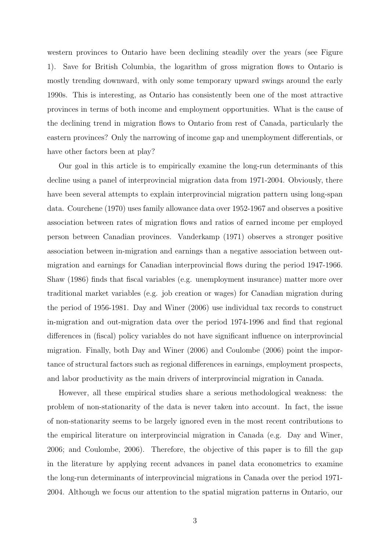western provinces to Ontario have been declining steadily over the years (see Figure 1). Save for British Columbia, the logarithm of gross migration flows to Ontario is mostly trending downward, with only some temporary upward swings around the early 1990s. This is interesting, as Ontario has consistently been one of the most attractive provinces in terms of both income and employment opportunities. What is the cause of the declining trend in migration flows to Ontario from rest of Canada, particularly the eastern provinces? Only the narrowing of income gap and unemployment differentials, or have other factors been at play?

Our goal in this article is to empirically examine the long-run determinants of this decline using a panel of interprovincial migration data from 1971-2004. Obviously, there have been several attempts to explain interprovincial migration pattern using long-span data. Courchene (1970) uses family allowance data over 1952-1967 and observes a positive association between rates of migration flows and ratios of earned income per employed person between Canadian provinces. Vanderkamp (1971) observes a stronger positive association between in-migration and earnings than a negative association between outmigration and earnings for Canadian interprovincial flows during the period 1947-1966. Shaw (1986) finds that fiscal variables (e.g. unemployment insurance) matter more over traditional market variables (e.g. job creation or wages) for Canadian migration during the period of 1956-1981. Day and Winer (2006) use individual tax records to construct in-migration and out-migration data over the period 1974-1996 and find that regional differences in (fiscal) policy variables do not have significant influence on interprovincial migration. Finally, both Day and Winer (2006) and Coulombe (2006) point the importance of structural factors such as regional differences in earnings, employment prospects, and labor productivity as the main drivers of interprovincial migration in Canada.

However, all these empirical studies share a serious methodological weakness: the problem of non-stationarity of the data is never taken into account. In fact, the issue of non-stationarity seems to be largely ignored even in the most recent contributions to the empirical literature on interprovincial migration in Canada (e.g. Day and Winer, 2006; and Coulombe, 2006). Therefore, the objective of this paper is to fill the gap in the literature by applying recent advances in panel data econometrics to examine the long-run determinants of interprovincial migrations in Canada over the period 1971- 2004. Although we focus our attention to the spatial migration patterns in Ontario, our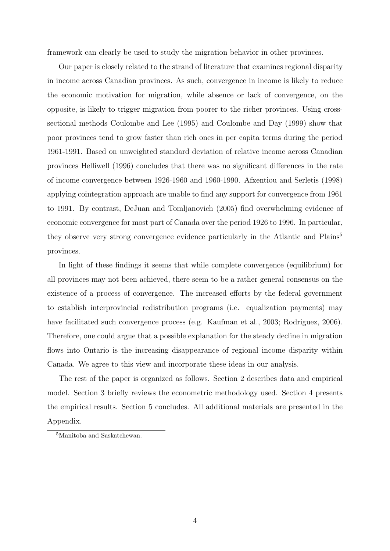framework can clearly be used to study the migration behavior in other provinces.

Our paper is closely related to the strand of literature that examines regional disparity in income across Canadian provinces. As such, convergence in income is likely to reduce the economic motivation for migration, while absence or lack of convergence, on the opposite, is likely to trigger migration from poorer to the richer provinces. Using crosssectional methods Coulombe and Lee (1995) and Coulombe and Day (1999) show that poor provinces tend to grow faster than rich ones in per capita terms during the period 1961-1991. Based on unweighted standard deviation of relative income across Canadian provinces Helliwell (1996) concludes that there was no significant differences in the rate of income convergence between 1926-1960 and 1960-1990. Afxentiou and Serletis (1998) applying cointegration approach are unable to find any support for convergence from 1961 to 1991. By contrast, DeJuan and Tomljanovich (2005) find overwhelming evidence of economic convergence for most part of Canada over the period 1926 to 1996. In particular, they observe very strong convergence evidence particularly in the Atlantic and Plains<sup>5</sup> provinces.

In light of these findings it seems that while complete convergence (equilibrium) for all provinces may not been achieved, there seem to be a rather general consensus on the existence of a process of convergence. The increased efforts by the federal government to establish interprovincial redistribution programs (i.e. equalization payments) may have facilitated such convergence process (e.g. Kaufman et al., 2003; Rodriguez, 2006). Therefore, one could argue that a possible explanation for the steady decline in migration flows into Ontario is the increasing disappearance of regional income disparity within Canada. We agree to this view and incorporate these ideas in our analysis.

The rest of the paper is organized as follows. Section 2 describes data and empirical model. Section 3 briefly reviews the econometric methodology used. Section 4 presents the empirical results. Section 5 concludes. All additional materials are presented in the Appendix.

<sup>5</sup>Manitoba and Saskatchewan.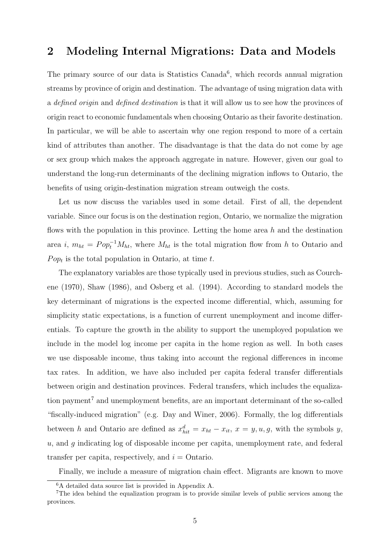### 2 Modeling Internal Migrations: Data and Models

The primary source of our data is Statistics Canada<sup>6</sup>, which records annual migration streams by province of origin and destination. The advantage of using migration data with a defined origin and defined destination is that it will allow us to see how the provinces of origin react to economic fundamentals when choosing Ontario as their favorite destination. In particular, we will be able to ascertain why one region respond to more of a certain kind of attributes than another. The disadvantage is that the data do not come by age or sex group which makes the approach aggregate in nature. However, given our goal to understand the long-run determinants of the declining migration inflows to Ontario, the benefits of using origin-destination migration stream outweigh the costs.

Let us now discuss the variables used in some detail. First of all, the dependent variable. Since our focus is on the destination region, Ontario, we normalize the migration flows with the population in this province. Letting the home area  $h$  and the destination area i,  $m_{ht} = Pop_t^{-1}M_{ht}$ , where  $M_{ht}$  is the total migration flow from h to Ontario and  $Pop<sub>t</sub>$  is the total population in Ontario, at time t.

The explanatory variables are those typically used in previous studies, such as Courchene (1970), Shaw (1986), and Osberg et al. (1994). According to standard models the key determinant of migrations is the expected income differential, which, assuming for simplicity static expectations, is a function of current unemployment and income differentials. To capture the growth in the ability to support the unemployed population we include in the model log income per capita in the home region as well. In both cases we use disposable income, thus taking into account the regional differences in income tax rates. In addition, we have also included per capita federal transfer differentials between origin and destination provinces. Federal transfers, which includes the equalization payment<sup>7</sup> and unemployment benefits, are an important determinant of the so-called "fiscally-induced migration" (e.g. Day and Winer, 2006). Formally, the log differentials between h and Ontario are defined as  $x_{hit}^d = x_{ht} - x_{it}$ ,  $x = y, u, g$ , with the symbols y,  $u$ , and  $q$  indicating log of disposable income per capita, unemployment rate, and federal transfer per capita, respectively, and  $i =$  Ontario.

Finally, we include a measure of migration chain effect. Migrants are known to move

<sup>6</sup>A detailed data source list is provided in Appendix A.

<sup>&</sup>lt;sup>7</sup>The idea behind the equalization program is to provide similar levels of public services among the provinces.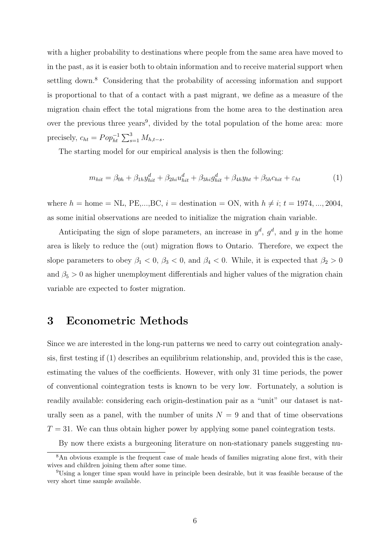with a higher probability to destinations where people from the same area have moved to in the past, as it is easier both to obtain information and to receive material support when settling down.<sup>8</sup> Considering that the probability of accessing information and support is proportional to that of a contact with a past migrant, we define as a measure of the migration chain effect the total migrations from the home area to the destination area over the previous three years<sup>9</sup>, divided by the total population of the home area: more precisely,  $c_{ht} = Pop_{ht}^{-1} \sum_{s=1}^{3} M_{h,t-s}$ .

The starting model for our empirical analysis is then the following:

$$
m_{hit} = \beta_{0h} + \beta_{1h} y_{hit}^d + \beta_{2hi} u_{hit}^d + \beta_{3hi} g_{hit}^d + \beta_{4h} y_{ht} + \beta_{5h} c_{hit} + \varepsilon_{ht}
$$
(1)

where  $h = \text{home} = \text{NL}, \text{PE}, \dots, \text{BC}, i = \text{destination} = \text{ON}, \text{with } h \neq i; t = 1974, \dots, 2004,$ as some initial observations are needed to initialize the migration chain variable.

Anticipating the sign of slope parameters, an increase in  $y^d$ ,  $g^d$ , and y in the home area is likely to reduce the (out) migration flows to Ontario. Therefore, we expect the slope parameters to obey  $\beta_1 < 0$ ,  $\beta_3 < 0$ , and  $\beta_4 < 0$ . While, it is expected that  $\beta_2 > 0$ and  $\beta_5 > 0$  as higher unemployment differentials and higher values of the migration chain variable are expected to foster migration.

### 3 Econometric Methods

Since we are interested in the long-run patterns we need to carry out cointegration analysis, first testing if (1) describes an equilibrium relationship, and, provided this is the case, estimating the values of the coefficients. However, with only 31 time periods, the power of conventional cointegration tests is known to be very low. Fortunately, a solution is readily available: considering each origin-destination pair as a "unit" our dataset is naturally seen as a panel, with the number of units  $N = 9$  and that of time observations  $T = 31$ . We can thus obtain higher power by applying some panel cointegration tests.

By now there exists a burgeoning literature on non-stationary panels suggesting nu-

<sup>&</sup>lt;sup>8</sup>An obvious example is the frequent case of male heads of families migrating alone first, with their wives and children joining them after some time.

<sup>9</sup>Using a longer time span would have in principle been desirable, but it was feasible because of the very short time sample available.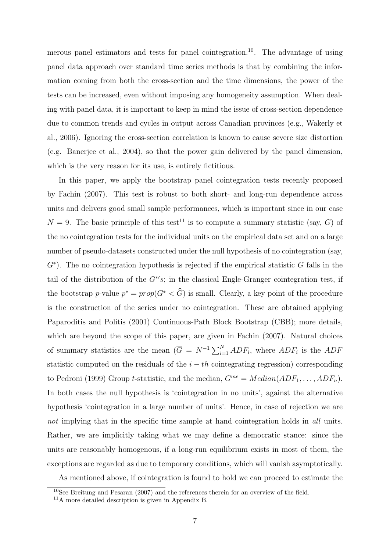merous panel estimators and tests for panel cointegration.<sup>10</sup>. The advantage of using panel data approach over standard time series methods is that by combining the information coming from both the cross-section and the time dimensions, the power of the tests can be increased, even without imposing any homogeneity assumption. When dealing with panel data, it is important to keep in mind the issue of cross-section dependence due to common trends and cycles in output across Canadian provinces (e.g., Wakerly et al., 2006). Ignoring the cross-section correlation is known to cause severe size distortion (e.g. Banerjee et al., 2004), so that the power gain delivered by the panel dimension, which is the very reason for its use, is entirely fictitious.

In this paper, we apply the bootstrap panel cointegration tests recently proposed by Fachin (2007). This test is robust to both short- and long-run dependence across units and delivers good small sample performances, which is important since in our case  $N = 9$ . The basic principle of this test<sup>11</sup> is to compute a summary statistic (say, G) of the no cointegration tests for the individual units on the empirical data set and on a large number of pseudo-datasets constructed under the null hypothesis of no cointegration (say,  $G<sup>*</sup>$ ). The no cointegration hypothesis is rejected if the empirical statistic G falls in the tail of the distribution of the  $G^*$ 's; in the classical Engle-Granger cointegration test, if the bootstrap p-value  $p^* = prop(G^* < \widehat{G})$  is small. Clearly, a key point of the procedure is the construction of the series under no cointegration. These are obtained applying Paparoditis and Politis (2001) Continuous-Path Block Bootstrap (CBB); more details, which are beyond the scope of this paper, are given in Fachin (2007). Natural choices of summary statistics are the mean  $(\overline{G} = N^{-1} \sum_{i=1}^{N} ADF_i$ , where  $ADF_i$  is the  $ADF_i$ statistic computed on the residuals of the  $i - th$  cointegrating regression) corresponding to Pedroni (1999) Group *t*-statistic, and the median,  $G^{me} = Median(ADF_1, \ldots, ADF_n)$ . In both cases the null hypothesis is 'cointegration in no units', against the alternative hypothesis 'cointegration in a large number of units'. Hence, in case of rejection we are not implying that in the specific time sample at hand cointegration holds in all units. Rather, we are implicitly taking what we may define a democratic stance: since the units are reasonably homogenous, if a long-run equilibrium exists in most of them, the exceptions are regarded as due to temporary conditions, which will vanish asymptotically.

As mentioned above, if cointegration is found to hold we can proceed to estimate the

<sup>10</sup>See Breitung and Pesaran (2007) and the references therein for an overview of the field.

<sup>11</sup>A more detailed description is given in Appendix B.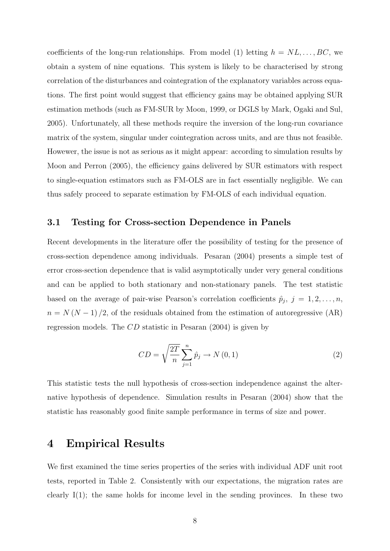coefficients of the long-run relationships. From model (1) letting  $h = NL, \ldots, BC$ , we obtain a system of nine equations. This system is likely to be characterised by strong correlation of the disturbances and cointegration of the explanatory variables across equations. The first point would suggest that efficiency gains may be obtained applying SUR estimation methods (such as FM-SUR by Moon, 1999, or DGLS by Mark, Ogaki and Sul, 2005). Unfortunately, all these methods require the inversion of the long-run covariance matrix of the system, singular under cointegration across units, and are thus not feasible. Howewer, the issue is not as serious as it might appear: according to simulation results by Moon and Perron (2005), the efficiency gains delivered by SUR estimators with respect to single-equation estimators such as FM-OLS are in fact essentially negligible. We can thus safely proceed to separate estimation by FM-OLS of each individual equation.

#### 3.1 Testing for Cross-section Dependence in Panels

Recent developments in the literature offer the possibility of testing for the presence of cross-section dependence among individuals. Pesaran (2004) presents a simple test of error cross-section dependence that is valid asymptotically under very general conditions and can be applied to both stationary and non-stationary panels. The test statistic based on the average of pair-wise Pearson's correlation coefficients  $\hat{p}_j$ ,  $j = 1, 2, \ldots, n$ ,  $n = N (N - 1) / 2$ , of the residuals obtained from the estimation of autoregressive (AR) regression models. The CD statistic in Pesaran (2004) is given by

$$
CD = \sqrt{\frac{2T}{n}} \sum_{j=1}^{n} \hat{p}_j \to N(0, 1)
$$
 (2)

This statistic tests the null hypothesis of cross-section independence against the alternative hypothesis of dependence. Simulation results in Pesaran (2004) show that the statistic has reasonably good finite sample performance in terms of size and power.

### 4 Empirical Results

We first examined the time series properties of the series with individual ADF unit root tests, reported in Table 2. Consistently with our expectations, the migration rates are clearly I(1); the same holds for income level in the sending provinces. In these two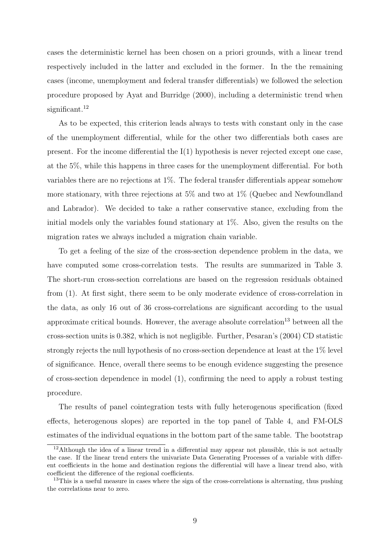cases the deterministic kernel has been chosen on a priori grounds, with a linear trend respectively included in the latter and excluded in the former. In the the remaining cases (income, unemployment and federal transfer differentials) we followed the selection procedure proposed by Ayat and Burridge (2000), including a deterministic trend when significant.<sup>12</sup>

As to be expected, this criterion leads always to tests with constant only in the case of the unemployment differential, while for the other two differentials both cases are present. For the income differential the  $I(1)$  hypothesis is never rejected except one case, at the 5%, while this happens in three cases for the unemployment differential. For both variables there are no rejections at 1%. The federal transfer differentials appear somehow more stationary, with three rejections at 5% and two at 1% (Quebec and Newfoundland and Labrador). We decided to take a rather conservative stance, excluding from the initial models only the variables found stationary at 1%. Also, given the results on the migration rates we always included a migration chain variable.

To get a feeling of the size of the cross-section dependence problem in the data, we have computed some cross-correlation tests. The results are summarized in Table 3. The short-run cross-section correlations are based on the regression residuals obtained from (1). At first sight, there seem to be only moderate evidence of cross-correlation in the data, as only 16 out of 36 cross-correlations are significant according to the usual approximate critical bounds. However, the average absolute correlation<sup>13</sup> between all the cross-section units is 0.382, which is not negligible. Further, Pesaran's (2004) CD statistic strongly rejects the null hypothesis of no cross-section dependence at least at the 1% level of significance. Hence, overall there seems to be enough evidence suggesting the presence of cross-section dependence in model (1), confirming the need to apply a robust testing procedure.

The results of panel cointegration tests with fully heterogenous specification (fixed effects, heterogenous slopes) are reported in the top panel of Table 4, and FM-OLS estimates of the individual equations in the bottom part of the same table. The bootstrap

 $12$ Although the idea of a linear trend in a differential may appear not plausible, this is not actually the case. If the linear trend enters the univariate Data Generating Processes of a variable with different coefficients in the home and destination regions the differential will have a linear trend also, with coefficient the difference of the regional coefficients.

<sup>&</sup>lt;sup>13</sup>This is a useful measure in cases where the sign of the cross-correlations is alternating, thus pushing the correlations near to zero.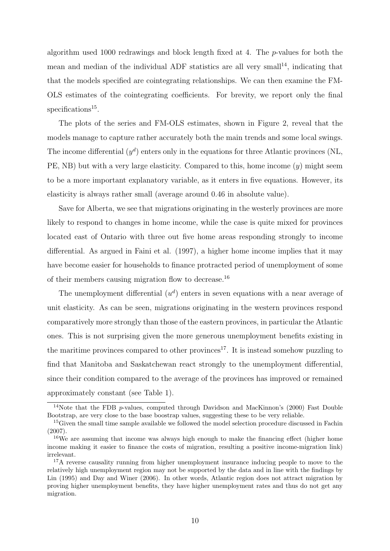algorithm used 1000 redrawings and block length fixed at 4. The p-values for both the mean and median of the individual ADF statistics are all very small<sup>14</sup>, indicating that that the models specified are cointegrating relationships. We can then examine the FM-OLS estimates of the cointegrating coefficients. For brevity, we report only the final specifications<sup>15</sup>.

The plots of the series and FM-OLS estimates, shown in Figure 2, reveal that the models manage to capture rather accurately both the main trends and some local swings. The income differential  $(y^d)$  enters only in the equations for three Atlantic provinces (NL, PE, NB) but with a very large elasticity. Compared to this, home income  $(y)$  might seem to be a more important explanatory variable, as it enters in five equations. However, its elasticity is always rather small (average around 0.46 in absolute value).

Save for Alberta, we see that migrations originating in the westerly provinces are more likely to respond to changes in home income, while the case is quite mixed for provinces located east of Ontario with three out five home areas responding strongly to income differential. As argued in Faini et al. (1997), a higher home income implies that it may have become easier for households to finance protracted period of unemployment of some of their members causing migration flow to decrease.<sup>16</sup>

The unemployment differential  $(u<sup>d</sup>)$  enters in seven equations with a near average of unit elasticity. As can be seen, migrations originating in the western provinces respond comparatively more strongly than those of the eastern provinces, in particular the Atlantic ones. This is not surprising given the more generous unemployment benefits existing in the maritime provinces compared to other provinces<sup>17</sup>. It is instead somehow puzzling to find that Manitoba and Saskatchewan react strongly to the unemployment differential, since their condition compared to the average of the provinces has improved or remained approximately constant (see Table 1).

<sup>&</sup>lt;sup>14</sup>Note that the FDB p-values, computed through Davidson and MacKinnon's (2000) Fast Double Bootstrap, are very close to the base boostrap values, suggesting these to be very reliable.

<sup>&</sup>lt;sup>15</sup>Given the small time sample available we followed the model selection procedure discussed in Fachin (2007).

<sup>&</sup>lt;sup>16</sup>We are assuming that income was always high enough to make the financing effect (higher home income making it easier to finance the costs of migration, resulting a positive income-migration link) irrelevant.

<sup>&</sup>lt;sup>17</sup>A reverse causality running from higher unemployment insurance inducing people to move to the relatively high unemployment region may not be supported by the data and in line with the findings by Lin (1995) and Day and Winer (2006). In other words, Atlantic region does not attract migration by proving higher unemployment benefits, they have higher unemployment rates and thus do not get any migration.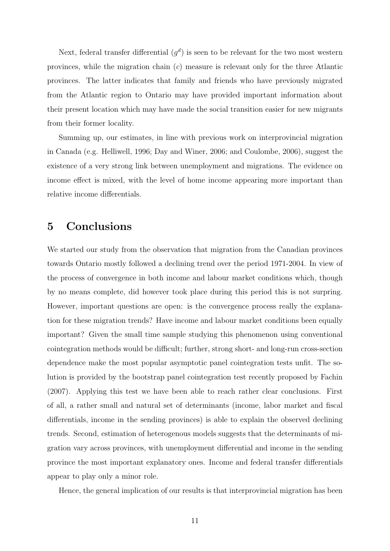Next, federal transfer differential  $(g<sup>d</sup>)$  is seen to be relevant for the two most western provinces, while the migration chain (c) measure is relevant only for the three Atlantic provinces. The latter indicates that family and friends who have previously migrated from the Atlantic region to Ontario may have provided important information about their present location which may have made the social transition easier for new migrants from their former locality.

Summing up, our estimates, in line with previous work on interprovincial migration in Canada (e.g. Helliwell, 1996; Day and Winer, 2006; and Coulombe, 2006), suggest the existence of a very strong link between unemployment and migrations. The evidence on income effect is mixed, with the level of home income appearing more important than relative income differentials.

### 5 Conclusions

We started our study from the observation that migration from the Canadian provinces towards Ontario mostly followed a declining trend over the period 1971-2004. In view of the process of convergence in both income and labour market conditions which, though by no means complete, did however took place during this period this is not surpring. However, important questions are open: is the convergence process really the explanation for these migration trends? Have income and labour market conditions been equally important? Given the small time sample studying this phenomenon using conventional cointegration methods would be difficult; further, strong short- and long-run cross-section dependence make the most popular asymptotic panel cointegration tests unfit. The solution is provided by the bootstrap panel cointegration test recently proposed by Fachin (2007). Applying this test we have been able to reach rather clear conclusions. First of all, a rather small and natural set of determinants (income, labor market and fiscal differentials, income in the sending provinces) is able to explain the observed declining trends. Second, estimation of heterogenous models suggests that the determinants of migration vary across provinces, with unemployment differential and income in the sending province the most important explanatory ones. Income and federal transfer differentials appear to play only a minor role.

Hence, the general implication of our results is that interprovincial migration has been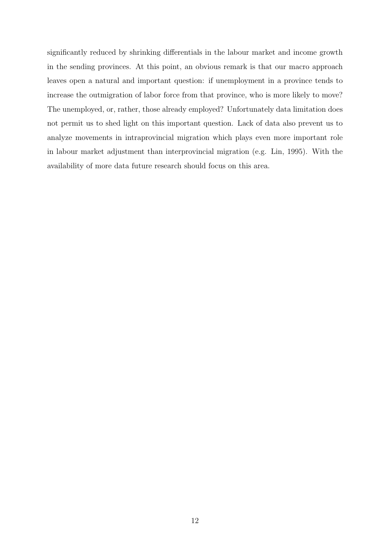significantly reduced by shrinking differentials in the labour market and income growth in the sending provinces. At this point, an obvious remark is that our macro approach leaves open a natural and important question: if unemployment in a province tends to increase the outmigration of labor force from that province, who is more likely to move? The unemployed, or, rather, those already employed? Unfortunately data limitation does not permit us to shed light on this important question. Lack of data also prevent us to analyze movements in intraprovincial migration which plays even more important role in labour market adjustment than interprovincial migration (e.g. Lin, 1995). With the availability of more data future research should focus on this area.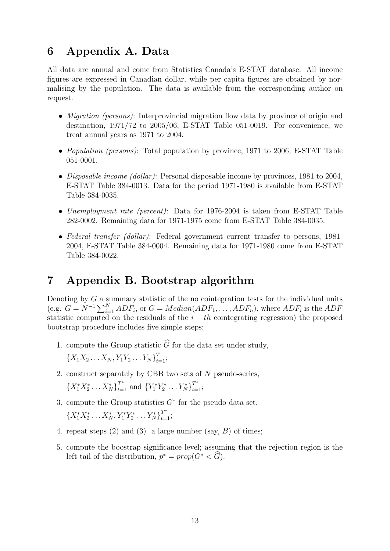### 6 Appendix A. Data

All data are annual and come from Statistics Canada's E-STAT database. All income figures are expressed in Canadian dollar, while per capita figures are obtained by normalising by the population. The data is available from the corresponding author on request.

- *Migration (persons)*: Interprovincial migration flow data by province of origin and destination, 1971/72 to 2005/06, E-STAT Table 051-0019. For convenience, we treat annual years as 1971 to 2004.
- *Population (persons)*: Total population by province, 1971 to 2006, E-STAT Table 051-0001.
- Disposable income (dollar): Personal disposable income by provinces, 1981 to 2004, E-STAT Table 384-0013. Data for the period 1971-1980 is available from E-STAT Table 384-0035.
- Unemployment rate (percent): Data for 1976-2004 is taken from E-STAT Table 282-0002. Remaining data for 1971-1975 come from E-STAT Table 384-0035.
- Federal transfer (dollar): Federal government current transfer to persons, 1981– 2004, E-STAT Table 384-0004. Remaining data for 1971-1980 come from E-STAT Table 384-0022.

### 7 Appendix B. Bootstrap algorithm

Denoting by  $G$  a summary statistic of the no cointegration tests for the individual units (e.g.  $G = N^{-1} \sum_{i=1}^{N} ADF_i$ , or  $G = Median(ADF_1, \ldots, ADF_n)$ , where  $ADF_i$  is the  $ADF_i$ statistic computed on the residuals of the  $i - th$  cointegrating regression) the proposed bootstrap procedure includes five simple steps:

1. compute the Group statistic  $\widehat{G}$  for the data set under study,

 ${X_1X_2 \ldots X_N, Y_1Y_2 \ldots Y_N}_{t=1}^T;$ 

2. construct separately by CBB two sets of N pseudo-series,

 ${X_1^*X_2^* \dots X_N^*}_{t=1}^{T^*}$  and  ${Y_1^*Y_2^* \dots Y_N^*}_{t=1}^{T^*}$ ;

3. compute the Group statistics  $G^*$  for the pseudo-data set,

 ${X_1^*X_2^* \dots X_N^*, Y_1^*Y_2^* \dots Y_N^*}_{t=1}^{T^*};$ 

- 4. repeat steps  $(2)$  and  $(3)$  a large number (say, B) of times;
- 5. compute the boostrap significance level; assuming that the rejection region is the left tail of the distribution,  $p^* = prop(G^* < \widehat{G})$ .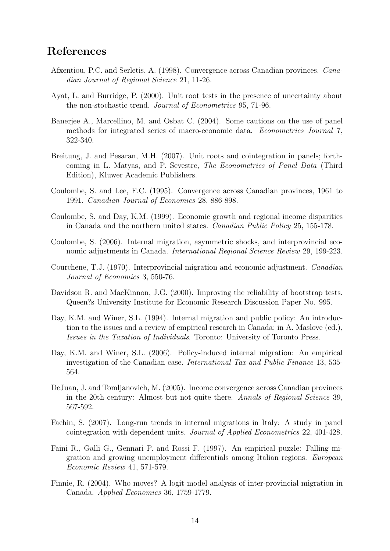### References

- Afxentiou, P.C. and Serletis, A. (1998). Convergence across Canadian provinces. Canadian Journal of Regional Science 21, 11-26.
- Ayat, L. and Burridge, P. (2000). Unit root tests in the presence of uncertainty about the non-stochastic trend. Journal of Econometrics 95, 71-96.
- Banerjee A., Marcellino, M. and Osbat C. (2004). Some cautions on the use of panel methods for integrated series of macro-economic data. Econometrics Journal 7, 322-340.
- Breitung, J. and Pesaran, M.H. (2007). Unit roots and cointegration in panels; forthcoming in L. Matyas, and P. Sevestre, The Econometrics of Panel Data (Third Edition), Kluwer Academic Publishers.
- Coulombe, S. and Lee, F.C. (1995). Convergence across Canadian provinces, 1961 to 1991. Canadian Journal of Economics 28, 886-898.
- Coulombe, S. and Day, K.M. (1999). Economic growth and regional income disparities in Canada and the northern united states. Canadian Public Policy 25, 155-178.
- Coulombe, S. (2006). Internal migration, asymmetric shocks, and interprovincial economic adjustments in Canada. International Regional Science Review 29, 199-223.
- Courchene, T.J. (1970). Interprovincial migration and economic adjustment. Canadian Journal of Economics 3, 550-76.
- Davidson R. and MacKinnon, J.G. (2000). Improving the reliability of bootstrap tests. Queen?s University Institute for Economic Research Discussion Paper No. 995.
- Day, K.M. and Winer, S.L. (1994). Internal migration and public policy: An introduction to the issues and a review of empirical research in Canada; in A. Maslove (ed.), Issues in the Taxation of Individuals. Toronto: University of Toronto Press.
- Day, K.M. and Winer, S.L. (2006). Policy-induced internal migration: An empirical investigation of the Canadian case. International Tax and Public Finance 13, 535- 564.
- DeJuan, J. and Tomljanovich, M. (2005). Income convergence across Canadian provinces in the 20th century: Almost but not quite there. Annals of Regional Science 39, 567-592.
- Fachin, S. (2007). Long-run trends in internal migrations in Italy: A study in panel cointegration with dependent units. Journal of Applied Econometrics 22, 401-428.
- Faini R., Galli G., Gennari P. and Rossi F. (1997). An empirical puzzle: Falling migration and growing unemployment differentials among Italian regions. European Economic Review 41, 571-579.
- Finnie, R. (2004). Who moves? A logit model analysis of inter-provincial migration in Canada. Applied Economics 36, 1759-1779.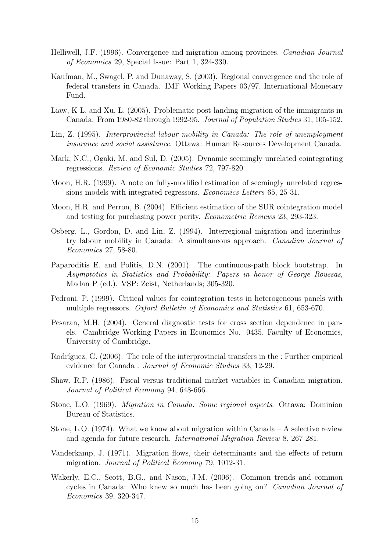- Helliwell, J.F. (1996). Convergence and migration among provinces. Canadian Journal of Economics 29, Special Issue: Part 1, 324-330.
- Kaufman, M., Swagel, P. and Dunaway, S. (2003). Regional convergence and the role of federal transfers in Canada. IMF Working Papers 03/97, International Monetary Fund.
- Liaw, K-L. and Xu, L. (2005). Problematic post-landing migration of the immigrants in Canada: From 1980-82 through 1992-95. Journal of Population Studies 31, 105-152.
- Lin, Z. (1995). Interprovincial labour mobility in Canada: The role of unemployment insurance and social assistance. Ottawa: Human Resources Development Canada.
- Mark, N.C., Ogaki, M. and Sul, D. (2005). Dynamic seemingly unrelated cointegrating regressions. Review of Economic Studies 72, 797-820.
- Moon, H.R. (1999). A note on fully-modified estimation of seemingly unrelated regressions models with integrated regressors. Economics Letters 65, 25-31.
- Moon, H.R. and Perron, B. (2004). Efficient estimation of the SUR cointegration model and testing for purchasing power parity. Econometric Reviews 23, 293-323.
- Osberg, L., Gordon, D. and Lin, Z. (1994). Interregional migration and interindustry labour mobility in Canada: A simultaneous approach. Canadian Journal of Economics 27, 58-80.
- Paparoditis E. and Politis, D.N. (2001). The continuous-path block bootstrap. In Asymptotics in Statistics and Probability: Papers in honor of George Roussas, Madan P (ed.). VSP: Zeist, Netherlands; 305-320.
- Pedroni, P. (1999). Critical values for cointegration tests in heterogeneous panels with multiple regressors. Oxford Bulletin of Economics and Statistics 61, 653-670.
- Pesaran, M.H. (2004). General diagnostic tests for cross section dependence in panels. Cambridge Working Papers in Economics No. 0435, Faculty of Economics, University of Cambridge.
- Rodríguez, G.  $(2006)$ . The role of the interprovincial transfers in the : Further empirical evidence for Canada . Journal of Economic Studies 33, 12-29.
- Shaw, R.P. (1986). Fiscal versus traditional market variables in Canadian migration. Journal of Political Economy 94, 648-666.
- Stone, L.O. (1969). Migration in Canada: Some regional aspects. Ottawa: Dominion Bureau of Statistics.
- Stone, L.O. (1974). What we know about migration within Canada A selective review and agenda for future research. International Migration Review 8, 267-281.
- Vanderkamp, J. (1971). Migration flows, their determinants and the effects of return migration. Journal of Political Economy 79, 1012-31.
- Wakerly, E.C., Scott, B.G., and Nason, J.M. (2006). Common trends and common cycles in Canada: Who knew so much has been going on? Canadian Journal of Economics 39, 320-347.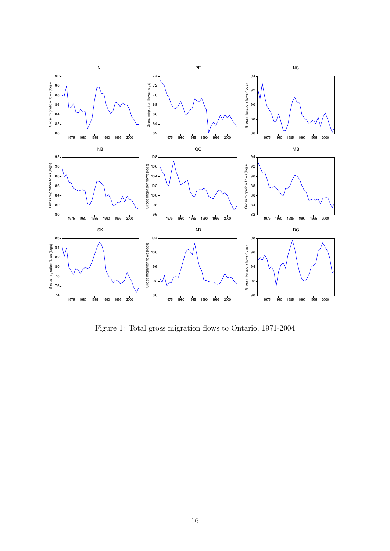

Figure 1: Total gross migration flows to Ontario, 1971-2004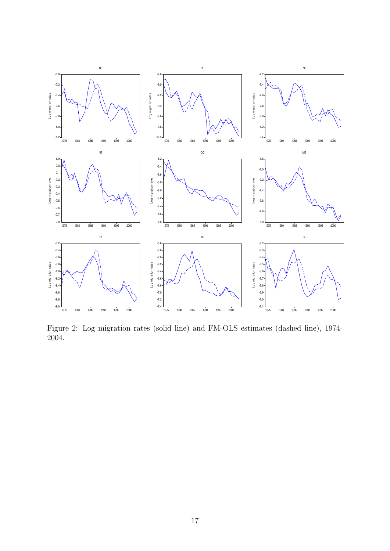

Figure 2: Log migration rates (solid line) and FM-OLS estimates (dashed line), 1974- 2004.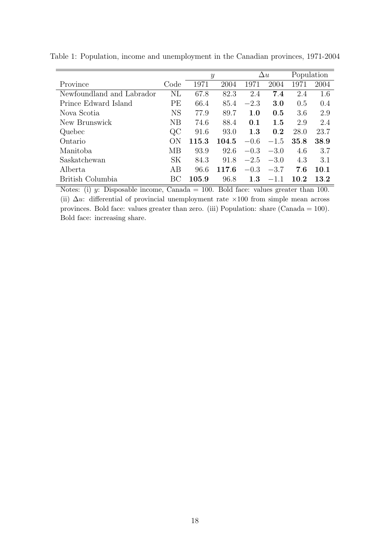|                           |           | $\mathcal{Y}$ |       |         | $\Delta u$ |      | Population |  |
|---------------------------|-----------|---------------|-------|---------|------------|------|------------|--|
| Province                  | Code      | 1971          | 2004  | 1971    | 2004       | 1971 | 2004       |  |
| Newfoundland and Labrador | NL        | 67.8          | 82.3  | 2.4     | 7.4        | 2.4  | 1.6        |  |
| Prince Edward Island      | PЕ        | 66.4          | 85.4  | $-2.3$  | 3.0        | 0.5  | 0.4        |  |
| Nova Scotia               | <b>NS</b> | 77.9          | 89.7  | $1.0\,$ | 0.5        | 3.6  | 2.9        |  |
| New Brunswick             | NB        | 74.6          | 88.4  | 0.1     | 1.5        | 2.9  | 2.4        |  |
| Quebec                    | $\rm QC$  | 91.6          | 93.0  | 1.3     | 0.2        | 28.0 | 23.7       |  |
| Ontario                   | ON        | 115.3         | 104.5 | $-0.6$  | $-1.5$     | 35.8 | 38.9       |  |
| Manitoba                  | <b>MB</b> | 93.9          | 92.6  | $-0.3$  | $-3.0$     | 4.6  | 3.7        |  |
| Saskatchewan              | SK        | 84.3          | 91.8  | $-2.5$  | $-3.0$     | 4.3  | 3.1        |  |
| Alberta                   | AB        | 96.6          | 117.6 | $-0.3$  | $-3.7$     | 7.6  | 10.1       |  |
| British Columbia          | ВC        | 105.9         | 96.8  | $1.3\,$ | $-1.1$     | 10.2 | 13.2       |  |

Table 1: Population, income and unemployment in the Canadian provinces, 1971-2004

Notes: (i) y: Disposable income, Canada = 100. Bold face: values greater than 100. (ii)  $\Delta u$ : differential of provincial unemployment rate ×100 from simple mean across provinces. Bold face: values greater than zero. (iii) Population: share (Canada = 100). Bold face: increasing share.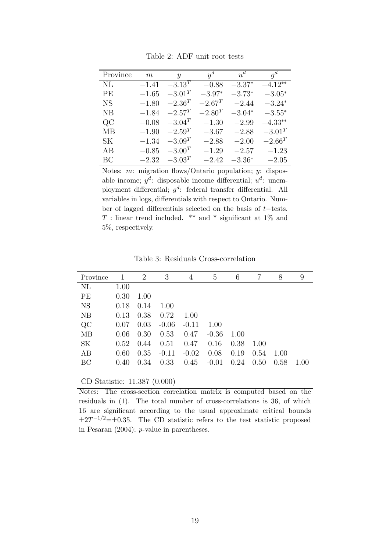| Province      | m       | $\boldsymbol{y}$ | $y^d$       | $u^d$    | $q^d$       |
|---------------|---------|------------------|-------------|----------|-------------|
| NI            | $-1.41$ | $-3.13^{T}$      | $-0.88$     | $-3.37*$ | $-4.12**$   |
| PF            | $-1.65$ | $-3.01^{T}$      | $-3.97*$    | $-3.73*$ | $-3.05*$    |
|               |         | $-2.36^{T}$      | $-2.67^T$   | $-2.44$  |             |
| NS            | $-1.80$ |                  |             |          | $-3.24*$    |
| NB            | $-1.84$ | $-2.57^{T}$      | $-2.80^{T}$ | $-3.04*$ | $-3.55*$    |
| $\mathrm{QC}$ | $-0.08$ | $-3.04^{T}$      | $-1.30$     | $-2.99$  | $-4.33**$   |
| MВ            | $-1.90$ | $-2.59^{T}$      | $-3.67$     | $-2.88$  | $-3.01^{T}$ |
| SК            | $-1.34$ | $-3.09^{T}$      | $-2.88$     | $-2.00$  | $-2.66^{T}$ |
| AB            | $-0.85$ | $-3.00^{T}$      | $-1.29$     | $-2.57$  | $-1.23$     |
| BC            | $-2.32$ | $-3.03^{T}$      | $-2.42$     | $-3.36*$ | $-2.05$     |

Table 2: ADF unit root tests

Notes:  $m:$  migration flows/Ontario population;  $y:$  disposable income;  $y^d$ : disposable income differential;  $u^d$ : unemployment differential;  $g^d$ : federal transfer differential. All variables in logs, differentials with respect to Ontario. Number of lagged differentials selected on the basis of t−tests.  $T$ : linear trend included. \*\* and \* significant at 1% and 5%, respectively.

| Province  | 1    | $\overline{2}$ | 3       | 4       | 5       | 6    | 7    | 8    | 9    |
|-----------|------|----------------|---------|---------|---------|------|------|------|------|
| $\rm NL$  | 1.00 |                |         |         |         |      |      |      |      |
| PE        | 0.30 | 1.00           |         |         |         |      |      |      |      |
| <b>NS</b> | 0.18 | 0.14           | 1.00    |         |         |      |      |      |      |
| NB        | 0.13 | 0.38           | 0.72    | 1.00    |         |      |      |      |      |
| QC        | 0.07 | 0.03           | $-0.06$ | $-0.11$ | 1.00    |      |      |      |      |
| <b>MB</b> | 0.06 | 0.30           | 0.53    | 0.47    | $-0.36$ | 1.00 |      |      |      |
| SK        | 0.52 | 0.44           | 0.51    | 0.47    | 0.16    | 0.38 | 1.00 |      |      |
| AB        | 0.60 | 0.35           | $-0.11$ | $-0.02$ | 0.08    | 0.19 | 0.54 | 1.00 |      |
| BC        | 0.40 | 0.34           | 0.33    | 0.45    | $-0.01$ | 0.24 | 0.50 | 0.58 | 1.00 |
|           |      |                |         |         |         |      |      |      |      |

CD Statistic: 11.387 (0.000)

Notes: The cross-section correlation matrix is computed based on the residuals in (1). The total number of cross-correlations is 36, of which 16 are significant according to the usual approximate critical bounds  $\pm 2T^{-1/2} = \pm 0.35$ . The CD statistic refers to the test statistic proposed in Pesaran (2004); p-value in parentheses.